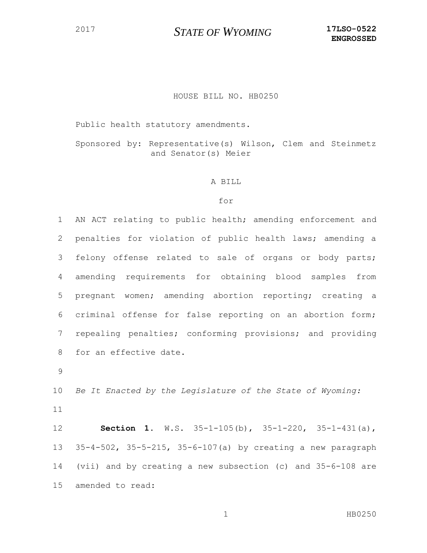## *STATE OF WYOMING* **17LSO-0522**

## HOUSE BILL NO. HB0250

Public health statutory amendments.

Sponsored by: Representative(s) Wilson, Clem and Steinmetz and Senator(s) Meier

## A BILL

## for

 AN ACT relating to public health; amending enforcement and penalties for violation of public health laws; amending a felony offense related to sale of organs or body parts; amending requirements for obtaining blood samples from pregnant women; amending abortion reporting; creating a criminal offense for false reporting on an abortion form; repealing penalties; conforming provisions; and providing for an effective date.

 *Be It Enacted by the Legislature of the State of Wyoming:* 

 **Section 1.** W.S. 35-1-105(b), 35-1-220, 35-1-431(a), 35-4-502, 35-5-215, 35-6-107(a) by creating a new paragraph (vii) and by creating a new subsection (c) and 35-6-108 are amended to read:

1 HB0250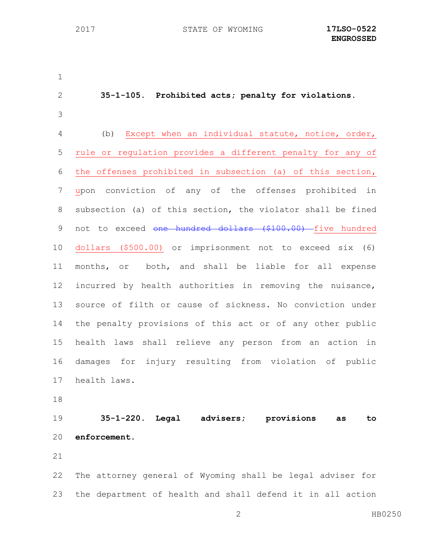**35-1-105. Prohibited acts; penalty for violations.** (b) Except when an individual statute, notice, order, rule or regulation provides a different penalty for any of the offenses prohibited in subsection (a) of this section, upon conviction of any of the offenses prohibited in subsection (a) of this section, the violator shall be fined 9 not to exceed one hundred dollars (\$100.00) five hundred dollars (\$500.00) or imprisonment not to exceed six (6) months, or both, and shall be liable for all expense incurred by health authorities in removing the nuisance, source of filth or cause of sickness. No conviction under the penalty provisions of this act or of any other public health laws shall relieve any person from an action in damages for injury resulting from violation of public health laws. **35-1-220. Legal advisers; provisions as to enforcement.** The attorney general of Wyoming shall be legal adviser for the department of health and shall defend it in all action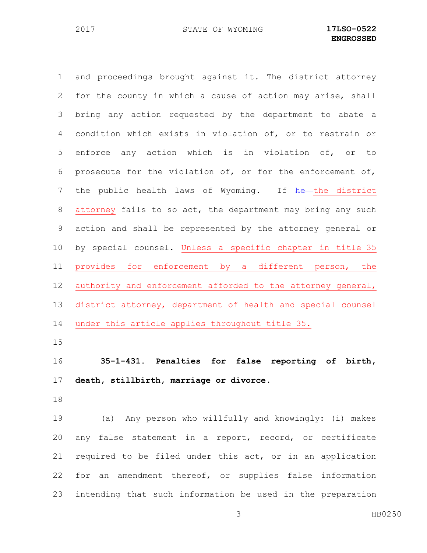and proceedings brought against it. The district attorney for the county in which a cause of action may arise, shall bring any action requested by the department to abate a condition which exists in violation of, or to restrain or enforce any action which is in violation of, or to prosecute for the violation of, or for the enforcement of, 7 the public health laws of Wyoming. If he the district attorney fails to so act, the department may bring any such action and shall be represented by the attorney general or by special counsel. Unless a specific chapter in title 35 provides for enforcement by a different person, the 12 authority and enforcement afforded to the attorney general, district attorney, department of health and special counsel under this article applies throughout title 35. **35-1-431. Penalties for false reporting of birth, death, stillbirth, marriage or divorce.** (a) Any person who willfully and knowingly: (i) makes any false statement in a report, record, or certificate required to be filed under this act, or in an application for an amendment thereof, or supplies false information

intending that such information be used in the preparation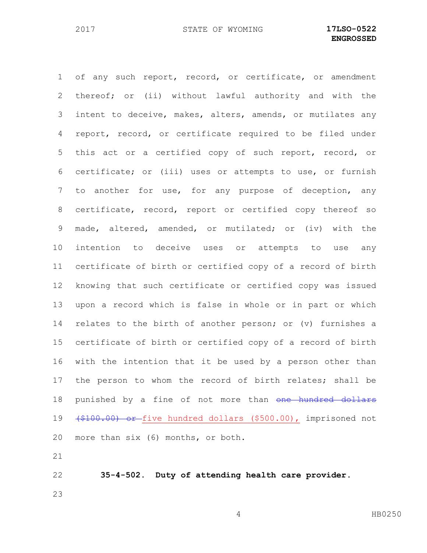of any such report, record, or certificate, or amendment thereof; or (ii) without lawful authority and with the intent to deceive, makes, alters, amends, or mutilates any report, record, or certificate required to be filed under this act or a certified copy of such report, record, or certificate; or (iii) uses or attempts to use, or furnish to another for use, for any purpose of deception, any certificate, record, report or certified copy thereof so made, altered, amended, or mutilated; or (iv) with the intention to deceive uses or attempts to use any certificate of birth or certified copy of a record of birth knowing that such certificate or certified copy was issued upon a record which is false in whole or in part or which relates to the birth of another person; or (v) furnishes a certificate of birth or certified copy of a record of birth with the intention that it be used by a person other than the person to whom the record of birth relates; shall be 18 punished by a fine of not more than one hundred dollars (\$100.00) or five hundred dollars (\$500.00), imprisoned not more than six (6) months, or both. 

 **35-4-502. Duty of attending health care provider.**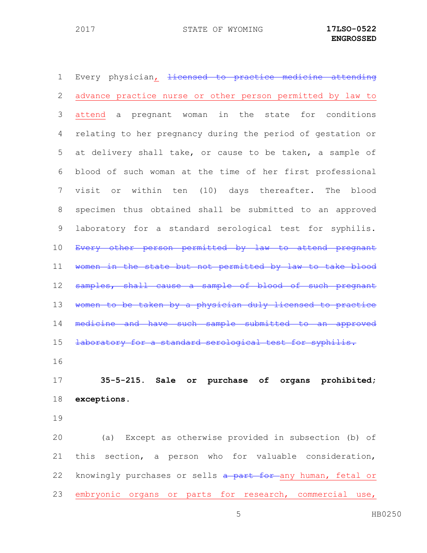1 Every physician, <del>licensed to practice medicine attending</del> advance practice nurse or other person permitted by law to attend a pregnant woman in the state for conditions relating to her pregnancy during the period of gestation or at delivery shall take, or cause to be taken, a sample of blood of such woman at the time of her first professional visit or within ten (10) days thereafter. The blood specimen thus obtained shall be submitted to an approved laboratory for a standard serological test for syphilis. 10 Every other person permitted by law to attend pregnant women in the state but not permitted by law to take blood 12 samples, shall cause a sample of blood of such pregnant women to be taken by a physician duly licensed to practice 14 medicine and have such sample submitted to an approved 15 <del>laboratory for a standard serological test for syphilis.</del> **35-5-215. Sale or purchase of organs prohibited; exceptions.**

 (a) Except as otherwise provided in subsection (b) of this section, a person who for valuable consideration, 22 knowingly purchases or sells a part for any human, fetal or embryonic organs or parts for research, commercial use,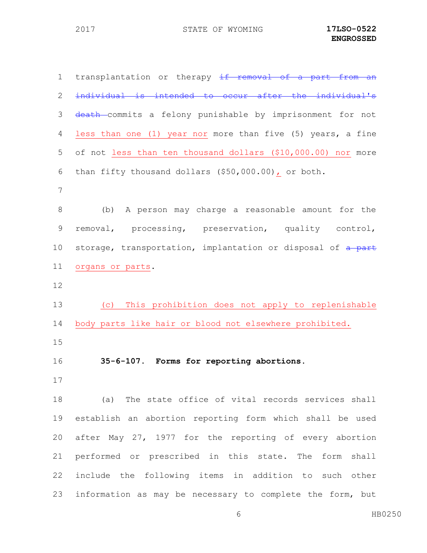| $\mathbf 1$ | transplantation or therapy if removal of a part from an      |
|-------------|--------------------------------------------------------------|
| 2           | individual is intended to occur after the individual's       |
| 3           | death-commits a felony punishable by imprisonment for not    |
| 4           | less than one (1) year nor more than five (5) years, a fine  |
| 5           | of not less than ten thousand dollars (\$10,000.00) nor more |
| 6           | than fifty thousand dollars (\$50,000.00), or both.          |
| 7           |                                                              |
| 8           | (b) A person may charge a reasonable amount for the          |
| $\mathsf 9$ | removal, processing, preservation, quality control,          |
| 10          | storage, transportation, implantation or disposal of a part  |
| 11          | organs or parts.                                             |
| 12          |                                                              |
| 13          | (c) This prohibition does not apply to replenishable         |
| 14          | body parts like hair or blood not elsewhere prohibited.      |
| 15          |                                                              |
| 16          | 35-6-107. Forms for reporting abortions.                     |
| 17          |                                                              |
| 18          | (a) The state office of vital records services shall         |
| 19          | establish an abortion reporting form which shall be used     |
| 20          | after May 27, 1977 for the reporting of every abortion       |
| 21          | performed or prescribed in this state. The form shall        |
| 22          | include the following items in addition to such other        |
| 23          | information as may be necessary to complete the form, but    |

HB0250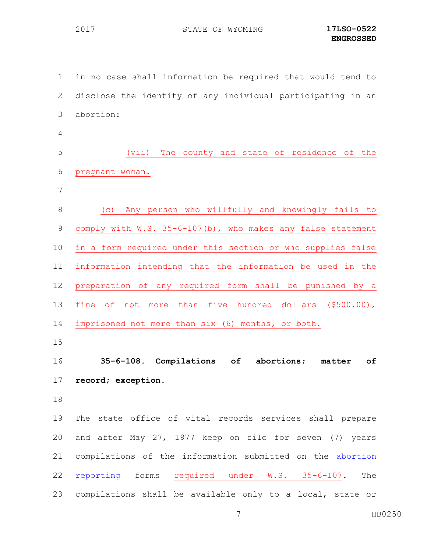STATE OF WYOMING **17LSO-0522**

 in no case shall information be required that would tend to disclose the identity of any individual participating in an abortion: (vii) The county and state of residence of the pregnant woman. (c) Any person who willfully and knowingly fails to 9 comply with W.S. 35-6-107(b), who makes any false statement in a form required under this section or who supplies false information intending that the information be used in the preparation of any required form shall be punished by a fine of not more than five hundred dollars (\$500.00), imprisoned not more than six (6) months, or both. **35-6-108. Compilations of abortions; matter of record; exception.** The state office of vital records services shall prepare and after May 27, 1977 keep on file for seven (7) years 21 compilations of the information submitted on the abortion 22 reporting forms required under W.S. 35-6-107. The compilations shall be available only to a local, state or

HB0250